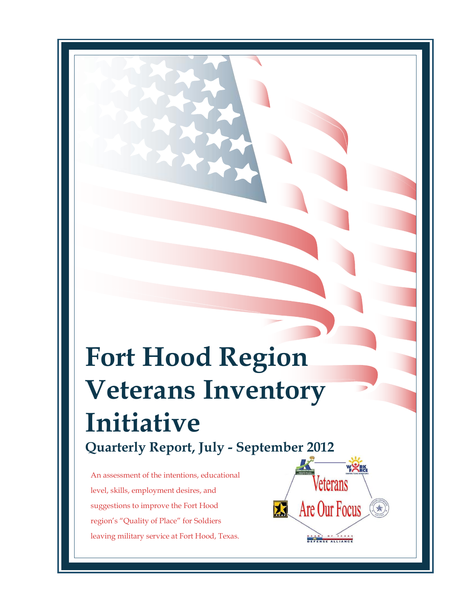# **Fort Hood Region Veterans Inventory Initiative Quarterly Report, July - September 2012**

An assessment of the intentions, educational level, skills, employment desires, and suggestions to improve the Fort Hood region's "Quality of Place" for Soldiers leaving military service at Fort Hood, Texas.

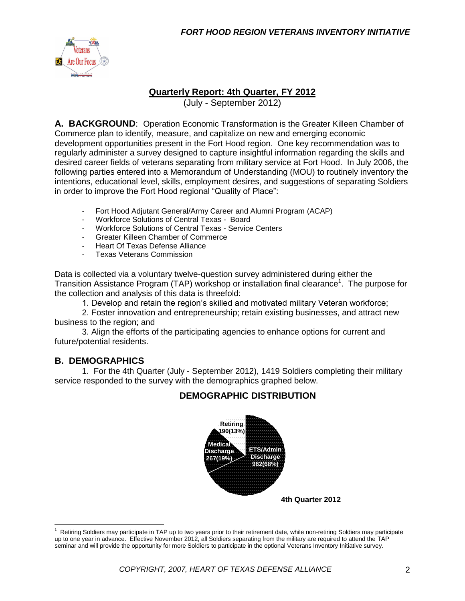

#### **Quarterly Report: 4th Quarter, FY 2012**

(July - September 2012)

**A. BACKGROUND**: Operation Economic Transformation is the Greater Killeen Chamber of Commerce plan to identify, measure, and capitalize on new and emerging economic development opportunities present in the Fort Hood region. One key recommendation was to regularly administer a survey designed to capture insightful information regarding the skills and desired career fields of veterans separating from military service at Fort Hood. In July 2006, the following parties entered into a Memorandum of Understanding (MOU) to routinely inventory the intentions, educational level, skills, employment desires, and suggestions of separating Soldiers in order to improve the Fort Hood regional "Quality of Place":

- Fort Hood Adjutant General/Army Career and Alumni Program (ACAP)
- Workforce Solutions of Central Texas Board<br>- Workforce Solutions of Central Texas Service
- Workforce Solutions of Central Texas Service Centers
- Greater Killeen Chamber of Commerce
- Heart Of Texas Defense Alliance
- Texas Veterans Commission

Data is collected via a voluntary twelve-question survey administered during either the Transition Assistance Program (TAP) workshop or installation final clearance<sup>1</sup>. The purpose for the collection and analysis of this data is threefold:

1. Develop and retain the region's skilled and motivated military Veteran workforce;

2. Foster innovation and entrepreneurship; retain existing businesses, and attract new business to the region; and

3. Align the efforts of the participating agencies to enhance options for current and future/potential residents.

#### **B. DEMOGRAPHICS**

 $\overline{a}$ 

1. For the 4th Quarter (July - September 2012), 1419 Soldiers completing their military service responded to the survey with the demographics graphed below.

#### **DEMOGRAPHIC DISTRIBUTION**



<sup>1</sup> Retiring Soldiers may participate in TAP up to two years prior to their retirement date, while non-retiring Soldiers may participate up to one year in advance. Effective November 2012, all Soldiers separating from the military are required to attend the TAP seminar and will provide the opportunity for more Soldiers to participate in the optional Veterans Inventory Initiative survey.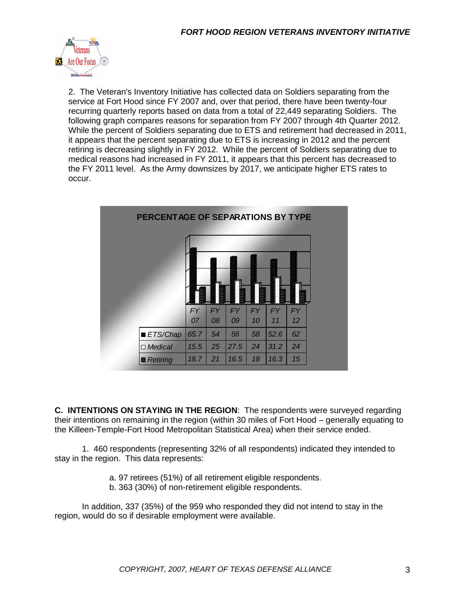

2. The Veteran's Inventory Initiative has collected data on Soldiers separating from the service at Fort Hood since FY 2007 and, over that period, there have been twenty-four recurring quarterly reports based on data from a total of 22,449 separating Soldiers. The following graph compares reasons for separation from FY 2007 through 4th Quarter 2012. While the percent of Soldiers separating due to ETS and retirement had decreased in 2011, it appears that the percent separating due to ETS is increasing in 2012 and the percent retiring is decreasing slightly in FY 2012. While the percent of Soldiers separating due to medical reasons had increased in FY 2011, it appears that this percent has decreased to the FY 2011 level. As the Army downsizes by 2017, we anticipate higher ETS rates to occur.

| PERCENTAGE OF SEPARATIONS BY TYPE |           |           |           |           |           |           |  |
|-----------------------------------|-----------|-----------|-----------|-----------|-----------|-----------|--|
|                                   |           |           |           |           |           |           |  |
|                                   |           |           |           |           |           |           |  |
|                                   |           |           |           |           |           |           |  |
|                                   | <b>FY</b> | <b>FY</b> | <b>FY</b> | <b>FY</b> | <b>FY</b> | <b>FY</b> |  |
|                                   | 07        | 08        | 09        | 10        | 11        | 12        |  |
| <b>ETS/Chap</b>                   | 65.7      | 54        | 56        | 58        | 52.6      | 62        |  |
| □ Medical                         | 15.5      | 25        | 27.5      | 24        | 31.2      | 24        |  |
| <b>Retiring</b>                   | 18.7      | 21        | 16.5      | 18        | 16.3      | 15        |  |

**C. INTENTIONS ON STAYING IN THE REGION**: The respondents were surveyed regarding their intentions on remaining in the region (within 30 miles of Fort Hood – generally equating to the Killeen-Temple-Fort Hood Metropolitan Statistical Area) when their service ended.

1. 460 respondents (representing 32% of all respondents) indicated they intended to stay in the region. This data represents:

- a. 97 retirees (51%) of all retirement eligible respondents.
- b. 363 (30%) of non-retirement eligible respondents.

In addition, 337 (35%) of the 959 who responded they did not intend to stay in the region, would do so if desirable employment were available.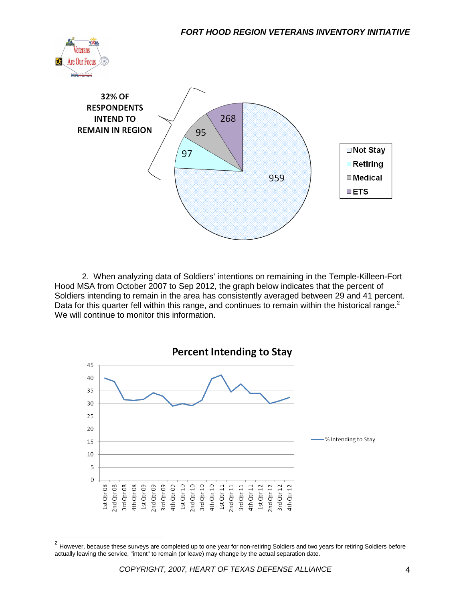



2. When analyzing data of Soldiers' intentions on remaining in the Temple-Killeen-Fort Hood MSA from October 2007 to Sep 2012, the graph below indicates that the percent of Soldiers intending to remain in the area has consistently averaged between 29 and 41 percent. Data for this quarter fell within this range, and continues to remain within the historical range. $2$ We will continue to monitor this information.



 2 However, because these surveys are completed up to one year for non-retiring Soldiers and two years for retiring Soldiers before actually leaving the service, "intent" to remain (or leave) may change by the actual separation date.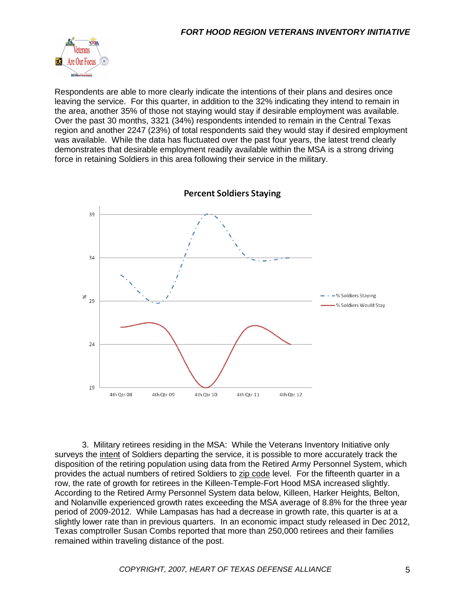

Respondents are able to more clearly indicate the intentions of their plans and desires once leaving the service. For this quarter, in addition to the 32% indicating they intend to remain in the area, another 35% of those not staying would stay if desirable employment was available. Over the past 30 months, 3321 (34%) respondents intended to remain in the Central Texas region and another 2247 (23%) of total respondents said they would stay if desired employment was available. While the data has fluctuated over the past four years, the latest trend clearly demonstrates that desirable employment readily available within the MSA is a strong driving force in retaining Soldiers in this area following their service in the military.



**Percent Soldiers Staying** 

3. Military retirees residing in the MSA: While the Veterans Inventory Initiative only surveys the intent of Soldiers departing the service, it is possible to more accurately track the disposition of the retiring population using data from the Retired Army Personnel System, which provides the actual numbers of retired Soldiers to zip code level. For the fifteenth quarter in a row, the rate of growth for retirees in the Killeen-Temple-Fort Hood MSA increased slightly. According to the Retired Army Personnel System data below, Killeen, Harker Heights, Belton, and Nolanville experienced growth rates exceeding the MSA average of 8.8% for the three year period of 2009-2012. While Lampasas has had a decrease in growth rate, this quarter is at a slightly lower rate than in previous quarters. In an economic impact study released in Dec 2012, Texas comptroller Susan Combs reported that more than 250,000 retirees and their families remained within traveling distance of the post.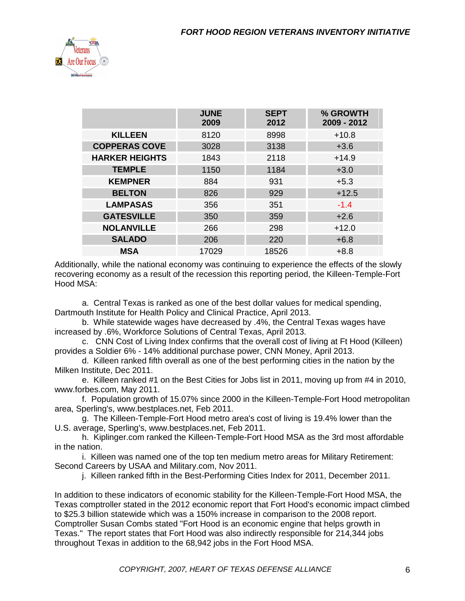

|                       | <b>JUNE</b><br>2009 | <b>SEPT</b><br>2012 | % GROWTH<br>2009 - 2012 |
|-----------------------|---------------------|---------------------|-------------------------|
| <b>KILLEEN</b>        | 8120                | 8998                | $+10.8$                 |
| <b>COPPERAS COVE</b>  | 3028                | 3138                | $+3.6$                  |
| <b>HARKER HEIGHTS</b> | 1843                | 2118                | $+14.9$                 |
| <b>TEMPLE</b>         | 1150                | 1184                | $+3.0$                  |
| <b>KEMPNER</b>        | 884                 | 931                 | $+5.3$                  |
| <b>BELTON</b>         | 826                 | 929                 | $+12.5$                 |
| <b>LAMPASAS</b>       | 356                 | 351                 | $-1.4$                  |
| <b>GATESVILLE</b>     | 350                 | 359                 | $+2.6$                  |
| <b>NOLANVILLE</b>     | 266                 | 298                 | $+12.0$                 |
| <b>SALADO</b>         | 206                 | 220                 | $+6.8$                  |
| <b>MSA</b>            | 17029               | 18526               | $+8.8$                  |

Additionally, while the national economy was continuing to experience the effects of the slowly recovering economy as a result of the recession this reporting period, the Killeen-Temple-Fort Hood MSA:

a. Central Texas is ranked as one of the best dollar values for medical spending, Dartmouth Institute for Health Policy and Clinical Practice, April 2013.

b. While statewide wages have decreased by .4%, the Central Texas wages have increased by .6%, Workforce Solutions of Central Texas, April 2013.

c. CNN Cost of Living Index confirms that the overall cost of living at Ft Hood (Killeen) provides a Soldier 6% - 14% additional purchase power, CNN Money, April 2013.

d. Killeen ranked fifth overall as one of the best performing cities in the nation by the Milken Institute, Dec 2011.

e. Killeen ranked #1 on the Best Cities for Jobs list in 2011, moving up from #4 in 2010, www.forbes.com, May 2011.

f. Population growth of 15.07% since 2000 in the Killeen-Temple-Fort Hood metropolitan area, Sperling's, www.bestplaces.net, Feb 2011.

g. The Killeen-Temple-Fort Hood metro area's cost of living is 19.4% lower than the U.S. average, Sperling's, www.bestplaces.net, Feb 2011.

h. Kiplinger.com ranked the Killeen-Temple-Fort Hood MSA as the 3rd most affordable in the nation.

i. Killeen was named one of the top ten medium metro areas for Military Retirement: Second Careers by USAA and Military.com, Nov 2011.

j. Killeen ranked fifth in the Best-Performing Cities Index for 2011, December 2011.

In addition to these indicators of economic stability for the Killeen-Temple-Fort Hood MSA, the Texas comptroller stated in the 2012 economic report that Fort Hood's economic impact climbed to \$25.3 billion statewide which was a 150% increase in comparison to the 2008 report. Comptroller Susan Combs stated "Fort Hood is an economic engine that helps growth in Texas." The report states that Fort Hood was also indirectly responsible for 214,344 jobs throughout Texas in addition to the 68,942 jobs in the Fort Hood MSA.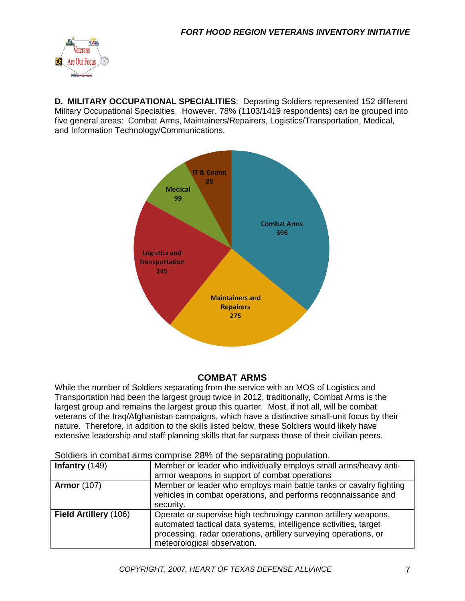

**D. MILITARY OCCUPATIONAL SPECIALITIES**: Departing Soldiers represented 152 different Military Occupational Specialties. However, 78% (1103/1419 respondents) can be grouped into five general areas: Combat Arms, Maintainers/Repairers, Logistics/Transportation, Medical, and Information Technology/Communications.



#### **COMBAT ARMS**

While the number of Soldiers separating from the service with an MOS of Logistics and Transportation had been the largest group twice in 2012, traditionally, Combat Arms is the largest group and remains the largest group this quarter. Most, if not all, will be combat veterans of the Iraq/Afghanistan campaigns, which have a distinctive small-unit focus by their nature. Therefore, in addition to the skills listed below, these Soldiers would likely have extensive leadership and staff planning skills that far surpass those of their civilian peers.

| Infantry $(149)$      | Member or leader who individually employs small arms/heavy anti-   |
|-----------------------|--------------------------------------------------------------------|
|                       | armor weapons in support of combat operations                      |
| <b>Armor</b> (107)    | Member or leader who employs main battle tanks or cavalry fighting |
|                       | vehicles in combat operations, and performs reconnaissance and     |
|                       | security.                                                          |
| Field Artillery (106) | Operate or supervise high technology cannon artillery weapons,     |
|                       | automated tactical data systems, intelligence activities, target   |
|                       | processing, radar operations, artillery surveying operations, or   |
|                       | meteorological observation.                                        |

#### Soldiers in combat arms comprise 28% of the separating population.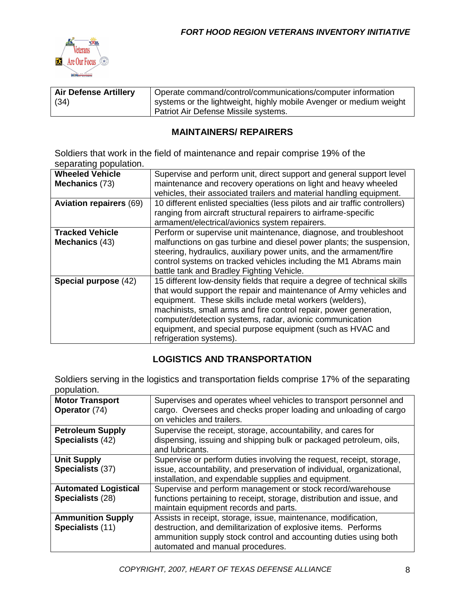

| <b>Air Defense Artillery</b> | Operate command/control/communications/computer information        |
|------------------------------|--------------------------------------------------------------------|
| (34)                         | systems or the lightweight, highly mobile Avenger or medium weight |
|                              | Patriot Air Defense Missile systems.                               |

#### **MAINTAINERS/ REPAIRERS**

Soldiers that work in the field of maintenance and repair comprise 19% of the separating population.

| Supervise and perform unit, direct support and general support level        |
|-----------------------------------------------------------------------------|
| maintenance and recovery operations on light and heavy wheeled              |
| vehicles, their associated trailers and material handling equipment.        |
| 10 different enlisted specialties (less pilots and air traffic controllers) |
| ranging from aircraft structural repairers to airframe-specific             |
| armament/electrical/avionics system repairers.                              |
| Perform or supervise unit maintenance, diagnose, and troubleshoot           |
| malfunctions on gas turbine and diesel power plants; the suspension,        |
| steering, hydraulics, auxiliary power units, and the armament/fire          |
| control systems on tracked vehicles including the M1 Abrams main            |
| battle tank and Bradley Fighting Vehicle.                                   |
| 15 different low-density fields that require a degree of technical skills   |
| that would support the repair and maintenance of Army vehicles and          |
| equipment. These skills include metal workers (welders),                    |
| machinists, small arms and fire control repair, power generation,           |
| computer/detection systems, radar, avionic communication                    |
| equipment, and special purpose equipment (such as HVAC and                  |
| refrigeration systems).                                                     |
|                                                                             |

#### **LOGISTICS AND TRANSPORTATION**

Soldiers serving in the logistics and transportation fields comprise 17% of the separating population.

| <b>Motor Transport</b><br>Operator (74)         | Supervises and operates wheel vehicles to transport personnel and<br>cargo. Oversees and checks proper loading and unloading of cargo<br>on vehicles and trailers.                                                                       |
|-------------------------------------------------|------------------------------------------------------------------------------------------------------------------------------------------------------------------------------------------------------------------------------------------|
| <b>Petroleum Supply</b><br>Specialists (42)     | Supervise the receipt, storage, accountability, and cares for<br>dispensing, issuing and shipping bulk or packaged petroleum, oils,<br>and lubricants.                                                                                   |
| <b>Unit Supply</b><br>Specialists (37)          | Supervise or perform duties involving the request, receipt, storage,<br>issue, accountability, and preservation of individual, organizational,<br>installation, and expendable supplies and equipment.                                   |
| <b>Automated Logistical</b><br>Specialists (28) | Supervise and perform management or stock record/warehouse<br>functions pertaining to receipt, storage, distribution and issue, and<br>maintain equipment records and parts.                                                             |
| <b>Ammunition Supply</b><br>Specialists (11)    | Assists in receipt, storage, issue, maintenance, modification,<br>destruction, and demilitarization of explosive items. Performs<br>ammunition supply stock control and accounting duties using both<br>automated and manual procedures. |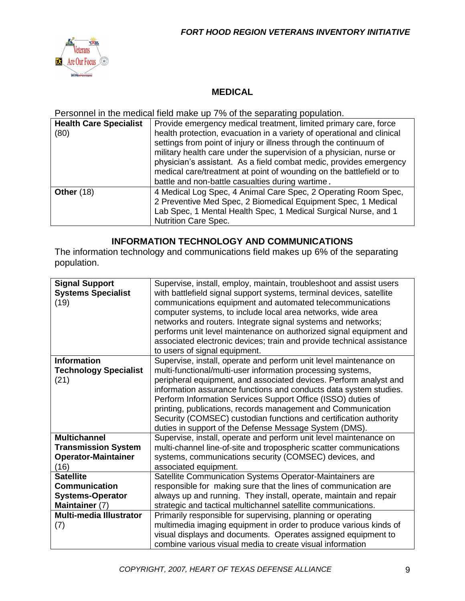

#### **MEDICAL**

Personnel in the medical field make up 7% of the separating population.

| <b>Health Care Specialist</b><br>(80) | Provide emergency medical treatment, limited primary care, force<br>health protection, evacuation in a variety of operational and clinical<br>settings from point of injury or illness through the continuum of<br>military health care under the supervision of a physician, nurse or<br>physician's assistant. As a field combat medic, provides emergency<br>medical care/treatment at point of wounding on the battlefield or to<br>battle and non-battle casualties during wartime. |
|---------------------------------------|------------------------------------------------------------------------------------------------------------------------------------------------------------------------------------------------------------------------------------------------------------------------------------------------------------------------------------------------------------------------------------------------------------------------------------------------------------------------------------------|
| <b>Other (18)</b>                     | 4 Medical Log Spec, 4 Animal Care Spec, 2 Operating Room Spec,<br>2 Preventive Med Spec, 2 Biomedical Equipment Spec, 1 Medical<br>Lab Spec, 1 Mental Health Spec, 1 Medical Surgical Nurse, and 1<br><b>Nutrition Care Spec.</b>                                                                                                                                                                                                                                                        |

#### **INFORMATION TECHNOLOGY AND COMMUNICATIONS**

The information technology and communications field makes up 6% of the separating population.

| <b>Signal Support</b><br><b>Systems Specialist</b><br>(19) | Supervise, install, employ, maintain, troubleshoot and assist users<br>with battlefield signal support systems, terminal devices, satellite<br>communications equipment and automated telecommunications<br>computer systems, to include local area networks, wide area<br>networks and routers. Integrate signal systems and networks;<br>performs unit level maintenance on authorized signal equipment and<br>associated electronic devices; train and provide technical assistance<br>to users of signal equipment. |
|------------------------------------------------------------|-------------------------------------------------------------------------------------------------------------------------------------------------------------------------------------------------------------------------------------------------------------------------------------------------------------------------------------------------------------------------------------------------------------------------------------------------------------------------------------------------------------------------|
| <b>Information</b>                                         | Supervise, install, operate and perform unit level maintenance on                                                                                                                                                                                                                                                                                                                                                                                                                                                       |
| <b>Technology Specialist</b>                               | multi-functional/multi-user information processing systems,                                                                                                                                                                                                                                                                                                                                                                                                                                                             |
| (21)                                                       | peripheral equipment, and associated devices. Perform analyst and                                                                                                                                                                                                                                                                                                                                                                                                                                                       |
|                                                            | information assurance functions and conducts data system studies.                                                                                                                                                                                                                                                                                                                                                                                                                                                       |
|                                                            | Perform Information Services Support Office (ISSO) duties of                                                                                                                                                                                                                                                                                                                                                                                                                                                            |
|                                                            | printing, publications, records management and Communication                                                                                                                                                                                                                                                                                                                                                                                                                                                            |
|                                                            | Security (COMSEC) custodian functions and certification authority                                                                                                                                                                                                                                                                                                                                                                                                                                                       |
|                                                            | duties in support of the Defense Message System (DMS).                                                                                                                                                                                                                                                                                                                                                                                                                                                                  |
|                                                            |                                                                                                                                                                                                                                                                                                                                                                                                                                                                                                                         |
| <b>Multichannel</b>                                        | Supervise, install, operate and perform unit level maintenance on                                                                                                                                                                                                                                                                                                                                                                                                                                                       |
| <b>Transmission System</b>                                 | multi-channel line-of-site and tropospheric scatter communications                                                                                                                                                                                                                                                                                                                                                                                                                                                      |
| <b>Operator-Maintainer</b>                                 | systems, communications security (COMSEC) devices, and                                                                                                                                                                                                                                                                                                                                                                                                                                                                  |
| (16)                                                       | associated equipment.                                                                                                                                                                                                                                                                                                                                                                                                                                                                                                   |
| <b>Satellite</b>                                           | Satellite Communication Systems Operator-Maintainers are                                                                                                                                                                                                                                                                                                                                                                                                                                                                |
| <b>Communication</b>                                       | responsible for making sure that the lines of communication are                                                                                                                                                                                                                                                                                                                                                                                                                                                         |
| <b>Systems-Operator</b>                                    | always up and running. They install, operate, maintain and repair                                                                                                                                                                                                                                                                                                                                                                                                                                                       |
| Maintainer (7)                                             | strategic and tactical multichannel satellite communications.                                                                                                                                                                                                                                                                                                                                                                                                                                                           |
| <b>Multi-media Illustrator</b>                             | Primarily responsible for supervising, planning or operating                                                                                                                                                                                                                                                                                                                                                                                                                                                            |
| (7)                                                        | multimedia imaging equipment in order to produce various kinds of                                                                                                                                                                                                                                                                                                                                                                                                                                                       |
|                                                            | visual displays and documents. Operates assigned equipment to                                                                                                                                                                                                                                                                                                                                                                                                                                                           |
|                                                            | combine various visual media to create visual information                                                                                                                                                                                                                                                                                                                                                                                                                                                               |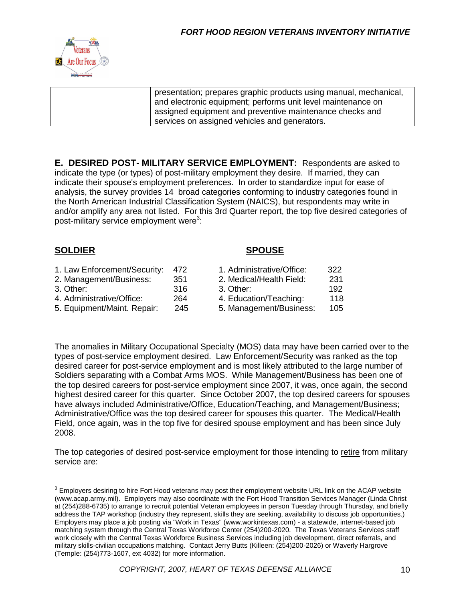

| presentation; prepares graphic products using manual, mechanical, |
|-------------------------------------------------------------------|
| and electronic equipment; performs unit level maintenance on      |
| assigned equipment and preventive maintenance checks and          |
| services on assigned vehicles and generators.                     |

**E. DESIRED POST- MILITARY SERVICE EMPLOYMENT:** Respondents are asked to indicate the type (or types) of post-military employment they desire. If married, they can indicate their spouse's employment preferences. In order to standardize input for ease of analysis, the survey provides 14 broad categories conforming to industry categories found in the North American Industrial Classification System (NAICS), but respondents may write in and/or amplify any area not listed. For this 3rd Quarter report, the top five desired categories of post-military service employment were $^3$ :

#### **SOLDIER SPOUSE**

| 1. Law Enforcement/Security: | 472  | 1. Administrative/Office: | 322 |
|------------------------------|------|---------------------------|-----|
| 2. Management/Business:      | -351 | 2. Medical/Health Field:  | 231 |
| 3. Other:                    | 316  | 3. Other:                 | 192 |
| 4. Administrative/Office:    | 264  | 4. Education/Teaching:    | 118 |
| 5. Equipment/Maint. Repair:  | 245  | 5. Management/Business:   | 105 |

The anomalies in Military Occupational Specialty (MOS) data may have been carried over to the types of post-service employment desired. Law Enforcement/Security was ranked as the top desired career for post-service employment and is most likely attributed to the large number of Soldiers separating with a Combat Arms MOS. While Management/Business has been one of the top desired careers for post-service employment since 2007, it was, once again, the second highest desired career for this quarter. Since October 2007, the top desired careers for spouses have always included Administrative/Office, Education/Teaching, and Management/Business; Administrative/Office was the top desired career for spouses this quarter. The Medical/Health Field, once again, was in the top five for desired spouse employment and has been since July 2008.

The top categories of desired post-service employment for those intending to retire from military service are:

 3 Employers desiring to hire Fort Hood veterans may post their employment website URL link on the ACAP website (www.acap.army.mil). Employers may also coordinate with the Fort Hood Transition Services Manager (Linda Christ at (254)288-6735) to arrange to recruit potential Veteran employees in person Tuesday through Thursday, and briefly address the TAP workshop (industry they represent, skills they are seeking, availability to discuss job opportunities.) Employers may place a job posting via "Work in Texas" (www.workintexas.com) - a statewide, internet-based job matching system through the Central Texas Workforce Center (254)200-2020. The Texas Veterans Services staff work closely with the Central Texas Workforce Business Services including job development, direct referrals, and military skills-civilian occupations matching. Contact Jerry Butts (Killeen: (254)200-2026) or Waverly Hargrove (Temple: (254)773-1607, ext 4032) for more information.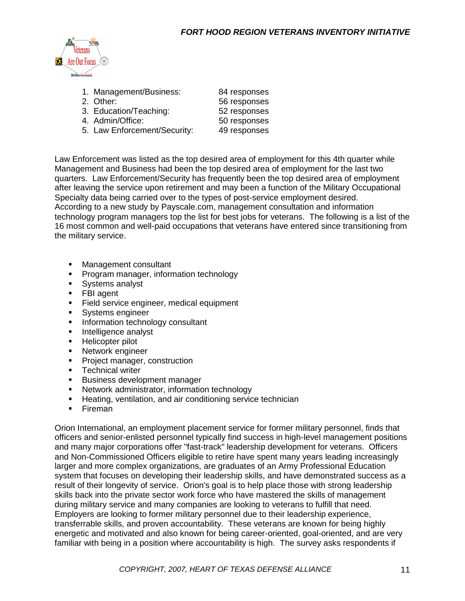

| 1. Management/Business:      | 84 responses |
|------------------------------|--------------|
| 2. Other:                    | 56 responses |
| 3. Education/Teaching:       | 52 responses |
| 4. Admin/Office:             | 50 responses |
| 5. Law Enforcement/Security: | 49 responses |

Law Enforcement was listed as the top desired area of employment for this 4th quarter while Management and Business had been the top desired area of employment for the last two quarters. Law Enforcement/Security has frequently been the top desired area of employment after leaving the service upon retirement and may been a function of the Military Occupational Specialty data being carried over to the types of post-service employment desired. According to a new study by Payscale.com, management consultation and information technology program managers top the list for best jobs for veterans. The following is a list of the 16 most common and well-paid occupations that veterans have entered since transitioning from the military service.

- **Management consultant**
- **Program manager, information technology**
- **Systems analyst**
- **FBI** agent
- **Field service engineer, medical equipment**
- **Systems engineer**
- **Information technology consultant**
- **Intelligence analyst**
- **Helicopter pilot**
- **Network engineer**
- Project manager, construction
- **Technical writer**
- **Business development manager**
- **Network administrator, information technology**
- **Heating, ventilation, and air conditioning service technician**
- **Fireman**

Orion International, an employment placement service for former military personnel, finds that officers and senior-enlisted personnel typically find success in high-level management positions and many major corporations offer "fast-track" leadership development for veterans. Officers and Non-Commissioned Officers eligible to retire have spent many years leading increasingly larger and more complex organizations, are graduates of an Army Professional Education system that focuses on developing their leadership skills, and have demonstrated success as a result of their longevity of service. Orion's goal is to help place those with strong leadership skills back into the private sector work force who have mastered the skills of management during military service and many companies are looking to veterans to fulfill that need. Employers are looking to former military personnel due to their leadership experience, transferrable skills, and proven accountability. These veterans are known for being highly energetic and motivated and also known for being career-oriented, goal-oriented, and are very familiar with being in a position where accountability is high. The survey asks respondents if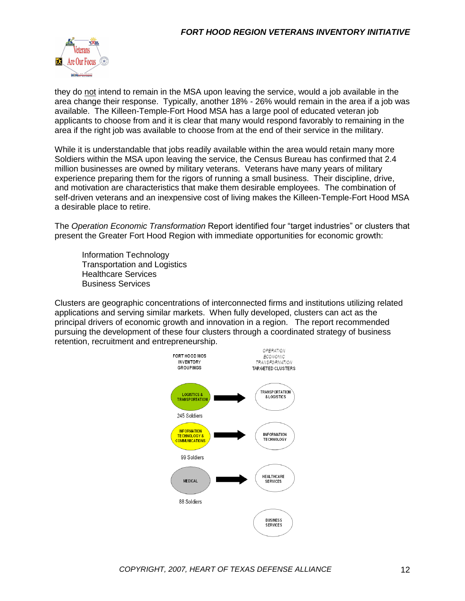

they do not intend to remain in the MSA upon leaving the service, would a job available in the area change their response. Typically, another 18% - 26% would remain in the area if a job was available. The Killeen-Temple-Fort Hood MSA has a large pool of educated veteran job applicants to choose from and it is clear that many would respond favorably to remaining in the area if the right job was available to choose from at the end of their service in the military.

While it is understandable that jobs readily available within the area would retain many more Soldiers within the MSA upon leaving the service, the Census Bureau has confirmed that 2.4 million businesses are owned by military veterans. Veterans have many years of military experience preparing them for the rigors of running a small business. Their discipline, drive, and motivation are characteristics that make them desirable employees. The combination of self-driven veterans and an inexpensive cost of living makes the Killeen-Temple-Fort Hood MSA a desirable place to retire.

The *Operation Economic Transformation* Report identified four "target industries" or clusters that present the Greater Fort Hood Region with immediate opportunities for economic growth:

Information Technology Transportation and Logistics Healthcare Services Business Services

Clusters are geographic concentrations of interconnected firms and institutions utilizing related applications and serving similar markets. When fully developed, clusters can act as the principal drivers of economic growth and innovation in a region. The report recommended pursuing the development of these four clusters through a coordinated strategy of business retention, recruitment and entrepreneurship.

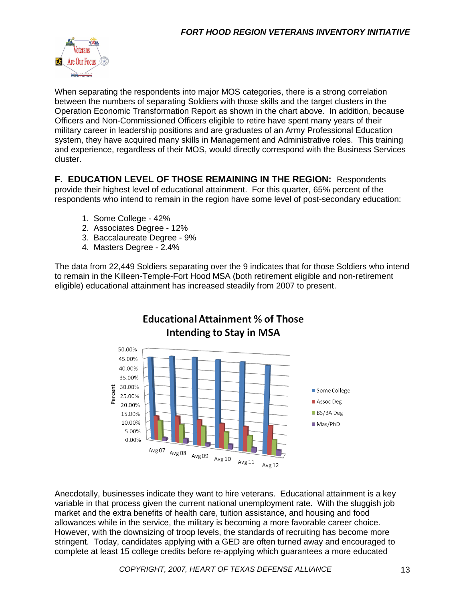

When separating the respondents into major MOS categories, there is a strong correlation between the numbers of separating Soldiers with those skills and the target clusters in the Operation Economic Transformation Report as shown in the chart above. In addition, because Officers and Non-Commissioned Officers eligible to retire have spent many years of their military career in leadership positions and are graduates of an Army Professional Education system, they have acquired many skills in Management and Administrative roles. This training and experience, regardless of their MOS, would directly correspond with the Business Services cluster.

**F. EDUCATION LEVEL OF THOSE REMAINING IN THE REGION:** Respondents provide their highest level of educational attainment. For this quarter, 65% percent of the respondents who intend to remain in the region have some level of post-secondary education:

- 1. Some College 42%
- 2. Associates Degree 12%
- 3. Baccalaureate Degree 9%
- 4. Masters Degree 2.4%

The data from 22,449 Soldiers separating over the 9 indicates that for those Soldiers who intend to remain in the Killeen-Temple-Fort Hood MSA (both retirement eligible and non-retirement eligible) educational attainment has increased steadily from 2007 to present.



### **Educational Attainment % of Those Intending to Stay in MSA**

Anecdotally, businesses indicate they want to hire veterans. Educational attainment is a key variable in that process given the current national unemployment rate. With the sluggish job market and the extra benefits of health care, tuition assistance, and housing and food allowances while in the service, the military is becoming a more favorable career choice. However, with the downsizing of troop levels, the standards of recruiting has become more stringent. Today, candidates applying with a GED are often turned away and encouraged to complete at least 15 college credits before re-applying which guarantees a more educated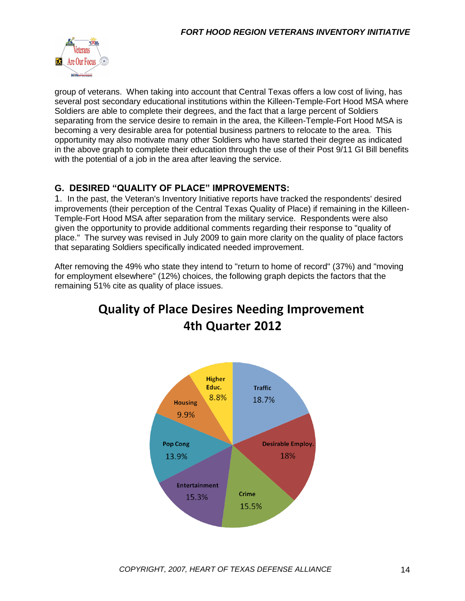

group of veterans. When taking into account that Central Texas offers a low cost of living, has several post secondary educational institutions within the Killeen-Temple-Fort Hood MSA where Soldiers are able to complete their degrees, and the fact that a large percent of Soldiers separating from the service desire to remain in the area, the Killeen-Temple-Fort Hood MSA is becoming a very desirable area for potential business partners to relocate to the area. This opportunity may also motivate many other Soldiers who have started their degree as indicated in the above graph to complete their education through the use of their Post 9/11 GI Bill benefits with the potential of a job in the area after leaving the service.

#### **G. DESIRED "QUALITY OF PLACE" IMPROVEMENTS:**

1. In the past, the Veteran's Inventory Initiative reports have tracked the respondents' desired improvements (their perception of the Central Texas Quality of Place) if remaining in the Killeen-Temple-Fort Hood MSA after separation from the military service. Respondents were also given the opportunity to provide additional comments regarding their response to "quality of place." The survey was revised in July 2009 to gain more clarity on the quality of place factors that separating Soldiers specifically indicated needed improvement.

After removing the 49% who state they intend to "return to home of record" (37%) and "moving for employment elsewhere" (12%) choices, the following graph depicts the factors that the remaining 51% cite as quality of place issues.

## **Quality of Place Desires Needing Improvement** 4th Quarter 2012